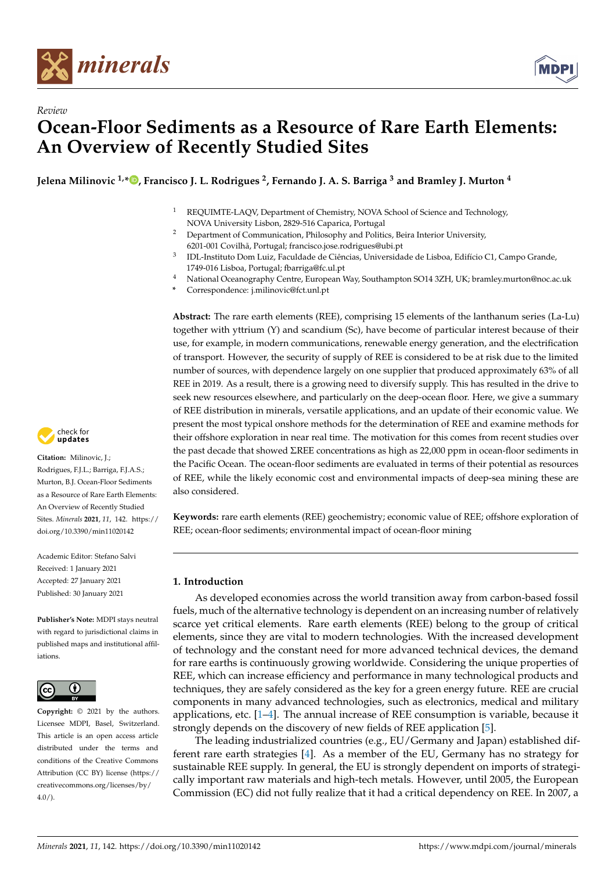

*Review*



# **Ocean-Floor Sediments as a Resource of Rare Earth Elements: An Overview of Recently Studied Sites**

**Jelena Milinovic 1,\* [,](https://orcid.org/0000-0002-7092-7851) Francisco J. L. Rodrigues <sup>2</sup> , Fernando J. A. S. Barriga <sup>3</sup> and Bramley J. Murton <sup>4</sup>**

- <sup>1</sup> REQUIMTE-LAQV, Department of Chemistry, NOVA School of Science and Technology, NOVA University Lisbon, 2829-516 Caparica, Portugal
- <sup>2</sup> Department of Communication, Philosophy and Politics, Beira Interior University, 6201-001 Covilhã, Portugal; francisco.jose.rodrigues@ubi.pt
- 3 IDL-Instituto Dom Luiz, Faculdade de Ciências, Universidade de Lisboa, Edifício C1, Campo Grande, 1749-016 Lisboa, Portugal; fbarriga@fc.ul.pt
- <sup>4</sup> National Oceanography Centre, European Way, Southampton SO14 3ZH, UK; bramley.murton@noc.ac.uk
- **\*** Correspondence: j.milinovic@fct.unl.pt

**Abstract:** The rare earth elements (REE), comprising 15 elements of the lanthanum series (La-Lu) together with yttrium (Y) and scandium (Sc), have become of particular interest because of their use, for example, in modern communications, renewable energy generation, and the electrification of transport. However, the security of supply of REE is considered to be at risk due to the limited number of sources, with dependence largely on one supplier that produced approximately 63% of all REE in 2019. As a result, there is a growing need to diversify supply. This has resulted in the drive to seek new resources elsewhere, and particularly on the deep-ocean floor. Here, we give a summary of REE distribution in minerals, versatile applications, and an update of their economic value. We present the most typical onshore methods for the determination of REE and examine methods for their offshore exploration in near real time. The motivation for this comes from recent studies over the past decade that showed ΣREE concentrations as high as 22,000 ppm in ocean-floor sediments in the Pacific Ocean. The ocean-floor sediments are evaluated in terms of their potential as resources of REE, while the likely economic cost and environmental impacts of deep-sea mining these are also considered.

**Keywords:** rare earth elements (REE) geochemistry; economic value of REE; offshore exploration of REE; ocean-floor sediments; environmental impact of ocean-floor mining

### **1. Introduction**

As developed economies across the world transition away from carbon-based fossil fuels, much of the alternative technology is dependent on an increasing number of relatively scarce yet critical elements. Rare earth elements (REE) belong to the group of critical elements, since they are vital to modern technologies. With the increased development of technology and the constant need for more advanced technical devices, the demand for rare earths is continuously growing worldwide. Considering the unique properties of REE, which can increase efficiency and performance in many technological products and techniques, they are safely considered as the key for a green energy future. REE are crucial components in many advanced technologies, such as electronics, medical and military applications, etc. [\[1](#page-11-0)[–4\]](#page-11-1). The annual increase of REE consumption is variable, because it strongly depends on the discovery of new fields of REE application [\[5\]](#page-11-2).

The leading industrialized countries (e.g., EU/Germany and Japan) established different rare earth strategies [\[4\]](#page-11-1). As a member of the EU, Germany has no strategy for sustainable REE supply. In general, the EU is strongly dependent on imports of strategically important raw materials and high-tech metals. However, until 2005, the European Commission (EC) did not fully realize that it had a critical dependency on REE. In 2007, a



**Citation:** Milinovic, J.; Rodrigues, F.J.L.; Barriga, F.J.A.S.; Murton, B.J. Ocean-Floor Sediments as a Resource of Rare Earth Elements: An Overview of Recently Studied Sites. *Minerals* **2021**, *11*, 142. [https://](https://doi.org/10.3390/min11020142) [doi.org/10.3390/min11020142](https://doi.org/10.3390/min11020142)

Academic Editor: Stefano Salvi Received: 1 January 2021 Accepted: 27 January 2021 Published: 30 January 2021

**Publisher's Note:** MDPI stays neutral with regard to jurisdictional claims in published maps and institutional affiliations.



**Copyright:** © 2021 by the authors. Licensee MDPI, Basel, Switzerland. This article is an open access article distributed under the terms and conditions of the Creative Commons Attribution (CC BY) license (https:/[/](https://creativecommons.org/licenses/by/4.0/) [creativecommons.org/licenses/by/](https://creativecommons.org/licenses/by/4.0/)  $4.0/$ ).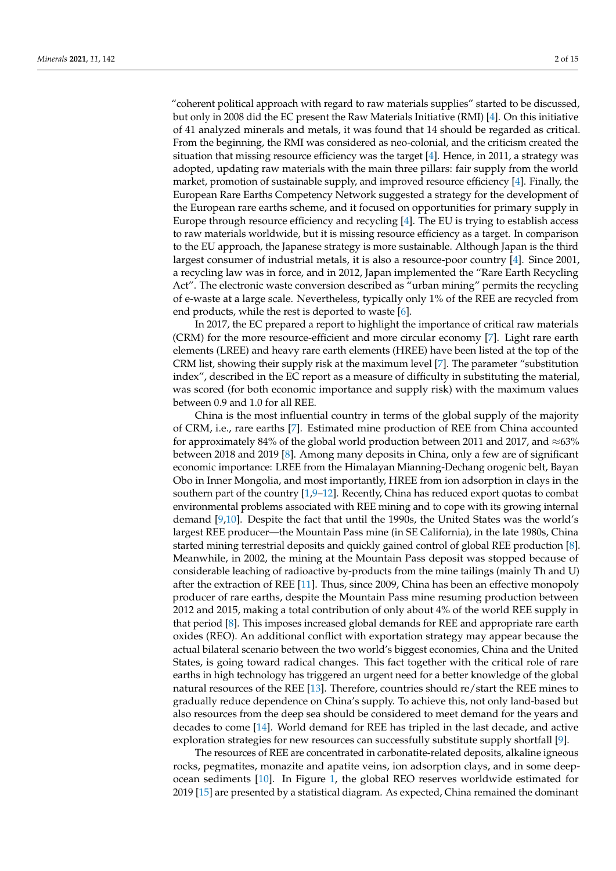"coherent political approach with regard to raw materials supplies" started to be discussed, but only in 2008 did the EC present the Raw Materials Initiative (RMI) [\[4\]](#page-11-1). On this initiative of 41 analyzed minerals and metals, it was found that 14 should be regarded as critical. From the beginning, the RMI was considered as neo-colonial, and the criticism created the situation that missing resource efficiency was the target  $[4]$ . Hence, in 2011, a strategy was adopted, updating raw materials with the main three pillars: fair supply from the world market, promotion of sustainable supply, and improved resource efficiency [\[4\]](#page-11-1). Finally, the European Rare Earths Competency Network suggested a strategy for the development of the European rare earths scheme, and it focused on opportunities for primary supply in Europe through resource efficiency and recycling [\[4\]](#page-11-1). The EU is trying to establish access to raw materials worldwide, but it is missing resource efficiency as a target. In comparison to the EU approach, the Japanese strategy is more sustainable. Although Japan is the third largest consumer of industrial metals, it is also a resource-poor country [\[4\]](#page-11-1). Since 2001, a recycling law was in force, and in 2012, Japan implemented the "Rare Earth Recycling Act". The electronic waste conversion described as "urban mining" permits the recycling of e-waste at a large scale. Nevertheless, typically only 1% of the REE are recycled from end products, while the rest is deported to waste [\[6\]](#page-11-3).

In 2017, the EC prepared a report to highlight the importance of critical raw materials (CRM) for the more resource-efficient and more circular economy [\[7\]](#page-11-4). Light rare earth elements (LREE) and heavy rare earth elements (HREE) have been listed at the top of the CRM list, showing their supply risk at the maximum level [\[7\]](#page-11-4). The parameter "substitution index", described in the EC report as a measure of difficulty in substituting the material, was scored (for both economic importance and supply risk) with the maximum values between 0.9 and 1.0 for all REE.

China is the most influential country in terms of the global supply of the majority of CRM, i.e., rare earths [\[7\]](#page-11-4). Estimated mine production of REE from China accounted for approximately 84% of the global world production between 2011 and 2017, and  $\approx$ 63% between 2018 and 2019 [\[8\]](#page-11-5). Among many deposits in China, only a few are of significant economic importance: LREE from the Himalayan Mianning-Dechang orogenic belt, Bayan Obo in Inner Mongolia, and most importantly, HREE from ion adsorption in clays in the southern part of the country [\[1,](#page-11-0)[9–](#page-11-6)[12\]](#page-12-0). Recently, China has reduced export quotas to combat environmental problems associated with REE mining and to cope with its growing internal demand [\[9,](#page-11-6)[10\]](#page-12-1). Despite the fact that until the 1990s, the United States was the world's largest REE producer—the Mountain Pass mine (in SE California), in the late 1980s, China started mining terrestrial deposits and quickly gained control of global REE production [\[8\]](#page-11-5). Meanwhile, in 2002, the mining at the Mountain Pass deposit was stopped because of considerable leaching of radioactive by-products from the mine tailings (mainly Th and U) after the extraction of REE [\[11\]](#page-12-2). Thus, since 2009, China has been an effective monopoly producer of rare earths, despite the Mountain Pass mine resuming production between 2012 and 2015, making a total contribution of only about 4% of the world REE supply in that period [\[8\]](#page-11-5). This imposes increased global demands for REE and appropriate rare earth oxides (REO). An additional conflict with exportation strategy may appear because the actual bilateral scenario between the two world's biggest economies, China and the United States, is going toward radical changes. This fact together with the critical role of rare earths in high technology has triggered an urgent need for a better knowledge of the global natural resources of the REE [\[13\]](#page-12-3). Therefore, countries should re/start the REE mines to gradually reduce dependence on China's supply. To achieve this, not only land-based but also resources from the deep sea should be considered to meet demand for the years and decades to come [\[14\]](#page-12-4). World demand for REE has tripled in the last decade, and active exploration strategies for new resources can successfully substitute supply shortfall [\[9\]](#page-11-6).

The resources of REE are concentrated in carbonatite-related deposits, alkaline igneous rocks, pegmatites, monazite and apatite veins, ion adsorption clays, and in some deepocean sediments [\[10\]](#page-12-1). In Figure [1,](#page-2-0) the global REO reserves worldwide estimated for 2019 [\[15\]](#page-12-5) are presented by a statistical diagram. As expected, China remained the dominant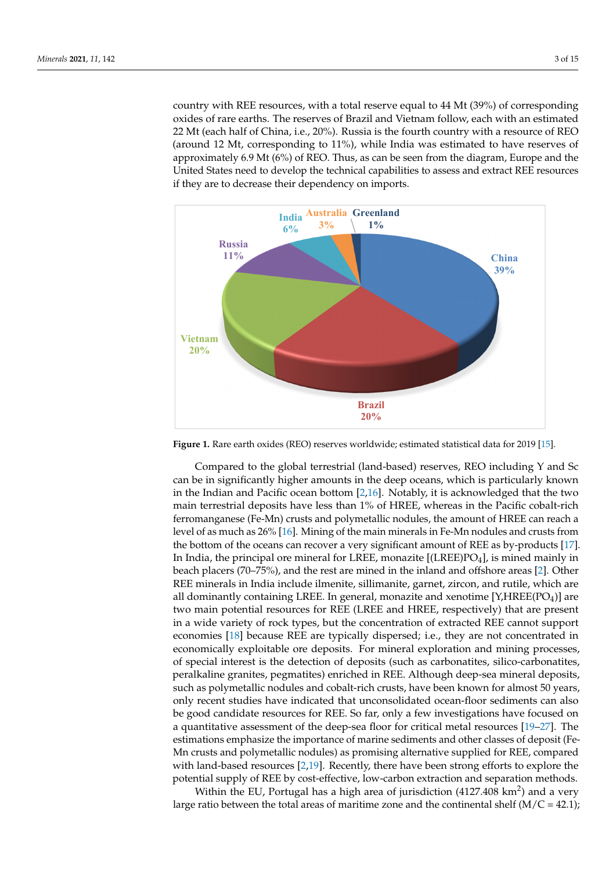country with REE resources, with a total reserve equal to 44 Mt (39%) of corresponding country with REE resources, with a total reserve equal to 44 Mt (39%) of corresponding oxides of rare earths. The reserves of Brazil and Vietnam follow, each with an estimated 22 Mt (each half of China, i.e., 20%). Russia is the fourth country with a resource of REO 22 Mt (each half of China, i.e., 20%). Russia is the fourth country with a resource of REO (around 12 Mt, corresponding to 11%), while India was estimated to have reserves of approximately 6.9 Mt (6%) of REO. Thus, as can be seen from the diagram, Europe and the proximately 6.9 Mt (6%) of REO. Thus, as can be seen from the diagram, Europe and the United States need to develop the technical capabilities to assess and extract REE resources United States need to develop the technical capabilities to assess and extract REE resources if they are to decrease their dependency on imports. if they are to decrease their dependency on imports.

<span id="page-2-0"></span>

**Figure 1.** Rare earth oxides (REO) reserves worldwide; estimated statistical data for 2019 [15]. **Figure 1.** Rare earth oxides (REO) reserves worldwide; estimated statistical data for 2019 [\[15\]](#page-12-5).

Compared to the global terrestrial (land-based) reserves, REO including Y and Sc can be in significantly higher amounts in the deep oceans, which is particularly known in the Indian and Pacific ocean bottom [2,16]. [N](#page-11-7)[ot](#page-12-6)ably, it is acknowledged that the two main terrestrial deposits have less than 1% of HREE, whereas in the Pacific cobalt-rich manganese (Fe-Mn) crusts and polymetallic nodules, the amount of HREE can reach a ferromanganese (Fe-Mn) crusts and polymetallic nodules, the amount of HREE can reach a level of as much as 26% [16]. Mining of the main minerals in Fe-Mn nodules and crusts level of as much as 26% [\[16\]](#page-12-6). Mining of the main minerals in Fe-Mn nodules and crusts from the bottom of the oceans can recover a very significant amount of REE as by-products  $[17]$ . In India, the principal ore mineral for LREE, monazite [(LREE)PO<sub>4</sub>], is mined mainly in in beach placers (70–75%), and the rest are mined in the inland and offshore areas [2]. beach placers (70–75%), and the rest are mined in the inland and offshore areas [\[2\]](#page-11-7). Other REE minerals in India include ilmenite, sillimanite, garnet, zircon, and rutile, which are all dominantly containing LREE. In general, monazite and xenotime [Y,HREE(PO<sub>4</sub>)] are are two main potential resources for REE (LREE and HREE, respectively) that are present two main potential resources for REE (LREE and HREE, respectively) that are present in a wide variety of rock types, but the concentration of extracted REE cannot support in a wide variety of rock types, but the concentration of extracted REE cannot support economies [\[18\]](#page-12-8) because REE are typically dispersed; i.e., they are not concentrated in economically exploitable ore deposits. For mineral exploration and mining processes, of special interest is the detection of deposits (such as carbonatites, silico-carbonatites, peralkaline granites, pegmatites) enriched in REE. Although deep-sea mineral deposits, such as polymetallic nodules and cobalt-rich crusts, have been known for almost 50 years, only recent studies have indicated that unconsolidated ocean-floor sediments can also be good in the good sediments can also be good candidate resources for REE. So far, only a few investigations have focused on a quantita-a quantitative assessment of the deep-sea floor for critical metal resources [\[19–](#page-12-9)[27\]](#page-12-10). The estimations emphasize the importance of marine sediments and other classes of deposit (Fe-<br>Marine 1990) Mn crusts and polymetallic nodules) as promising alternative supplied for REE, compared with land-based resources [\[2](#page-11-7)[,19\]](#page-12-9). Recently, there have been strong efforts to explore the potential supply of REE by cost-effective, low-carbon extraction and separation methods.

Within the EU, Portugal has a high area of jurisdiction (4127.408 km<sup>2</sup>) and a very large ratio between the total areas of maritime zone and the continental shelf  $(M/C = 42.1)$ ;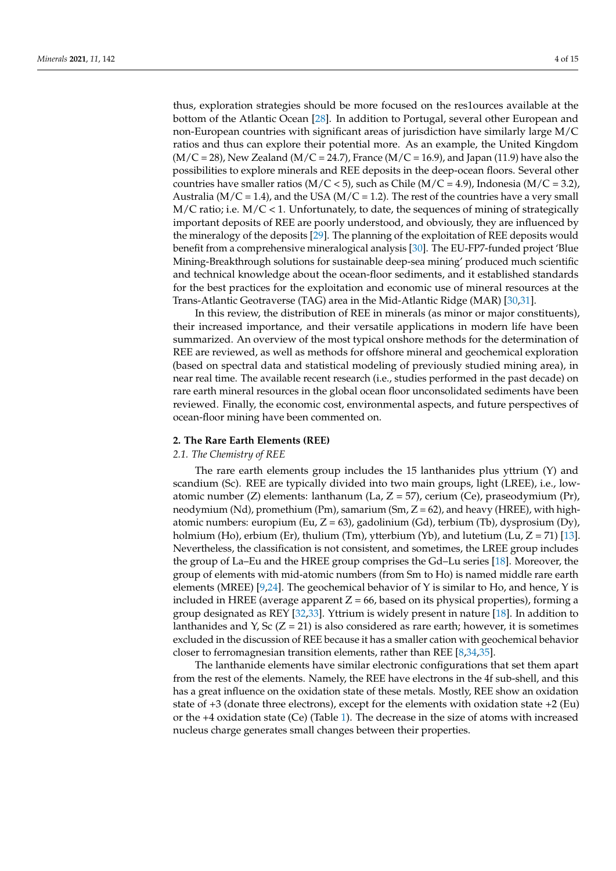thus, exploration strategies should be more focused on the res1ources available at the bottom of the Atlantic Ocean [\[28\]](#page-12-11). In addition to Portugal, several other European and non-European countries with significant areas of jurisdiction have similarly large M/C ratios and thus can explore their potential more. As an example, the United Kingdom  $(M/C = 28)$ , New Zealand  $(M/C = 24.7)$ , France  $(M/C = 16.9)$ , and Japan (11.9) have also the possibilities to explore minerals and REE deposits in the deep-ocean floors. Several other countries have smaller ratios ( $M/C < 5$ ), such as Chile ( $M/C = 4.9$ ), Indonesia ( $M/C = 3.2$ ), Australia ( $M/C = 1.4$ ), and the USA ( $M/C = 1.2$ ). The rest of the countries have a very small  $M/C$  ratio; i.e.  $M/C < 1$ . Unfortunately, to date, the sequences of mining of strategically important deposits of REE are poorly understood, and obviously, they are influenced by the mineralogy of the deposits [\[29\]](#page-12-12). The planning of the exploitation of REE deposits would benefit from a comprehensive mineralogical analysis [\[30\]](#page-12-13). The EU-FP7-funded project 'Blue Mining-Breakthrough solutions for sustainable deep-sea mining' produced much scientific and technical knowledge about the ocean-floor sediments, and it established standards for the best practices for the exploitation and economic use of mineral resources at the Trans-Atlantic Geotraverse (TAG) area in the Mid-Atlantic Ridge (MAR) [\[30](#page-12-13)[,31\]](#page-12-14).

In this review, the distribution of REE in minerals (as minor or major constituents), their increased importance, and their versatile applications in modern life have been summarized. An overview of the most typical onshore methods for the determination of REE are reviewed, as well as methods for offshore mineral and geochemical exploration (based on spectral data and statistical modeling of previously studied mining area), in near real time. The available recent research (i.e., studies performed in the past decade) on rare earth mineral resources in the global ocean floor unconsolidated sediments have been reviewed. Finally, the economic cost, environmental aspects, and future perspectives of ocean-floor mining have been commented on.

#### **2. The Rare Earth Elements (REE)**

#### *2.1. The Chemistry of REE*

The rare earth elements group includes the 15 lanthanides plus yttrium (Y) and scandium (Sc). REE are typically divided into two main groups, light (LREE), i.e., lowatomic number (Z) elements: lanthanum (La,  $Z = 57$ ), cerium (Ce), praseodymium (Pr), neodymium (Nd), promethium (Pm), samarium (Sm,  $Z = 62$ ), and heavy (HREE), with highatomic numbers: europium (Eu,  $Z = 63$ ), gadolinium (Gd), terbium (Tb), dysprosium (Dy), holmium (Ho), erbium (Er), thulium (Tm), ytterbium (Yb), and lutetium (Lu,  $Z = 71$ ) [\[13\]](#page-12-3). Nevertheless, the classification is not consistent, and sometimes, the LREE group includes the group of La–Eu and the HREE group comprises the Gd–Lu series [\[18\]](#page-12-8). Moreover, the group of elements with mid-atomic numbers (from Sm to Ho) is named middle rare earth elements (MREE) [\[9,](#page-11-6)[24\]](#page-12-15). The geochemical behavior of Y is similar to Ho, and hence, Y is included in HREE (average apparent  $Z = 66$ , based on its physical properties), forming a group designated as REY [\[32,](#page-12-16)[33\]](#page-12-17). Yttrium is widely present in nature [\[18\]](#page-12-8). In addition to lanthanides and Y, Sc  $(Z = 21)$  is also considered as rare earth; however, it is sometimes excluded in the discussion of REE because it has a smaller cation with geochemical behavior closer to ferromagnesian transition elements, rather than REE [\[8](#page-11-5)[,34](#page-12-18)[,35\]](#page-12-19).

The lanthanide elements have similar electronic configurations that set them apart from the rest of the elements. Namely, the REE have electrons in the 4f sub-shell, and this has a great influence on the oxidation state of these metals. Mostly, REE show an oxidation state of +3 (donate three electrons), except for the elements with oxidation state +2 (Eu) or the +4 oxidation state (Ce) (Table [1\)](#page-4-0). The decrease in the size of atoms with increased nucleus charge generates small changes between their properties.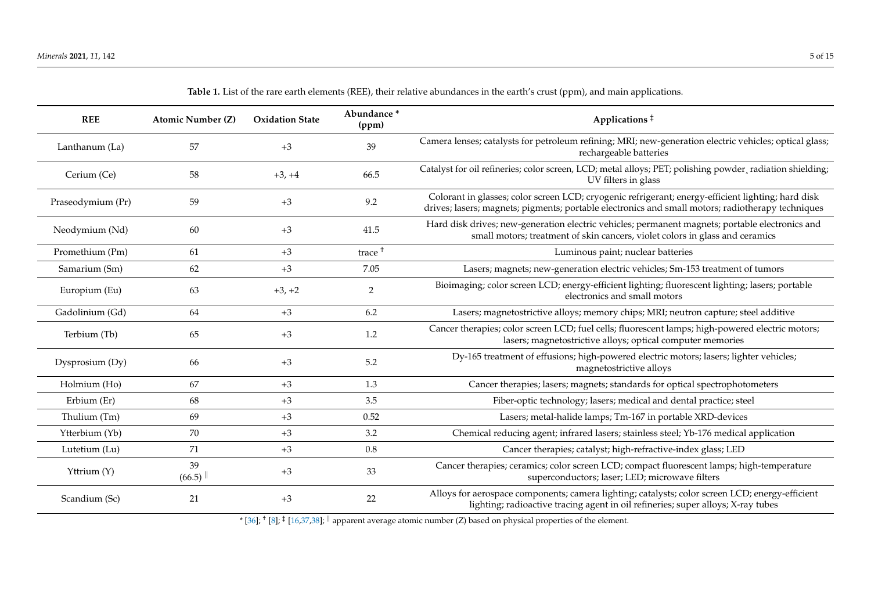<span id="page-4-0"></span>

| <b>REE</b>        | <b>Atomic Number (Z)</b> | <b>Oxidation State</b> | Abundance*<br>(ppm) | Applications $‡$                                                                                                                                                                                        |  |
|-------------------|--------------------------|------------------------|---------------------|---------------------------------------------------------------------------------------------------------------------------------------------------------------------------------------------------------|--|
| Lanthanum (La)    | 57                       | $+3$                   | 39                  | Camera lenses; catalysts for petroleum refining; MRI; new-generation electric vehicles; optical glass;<br>rechargeable batteries                                                                        |  |
| Cerium (Ce)       | 58                       | $+3, +4$               | 66.5                | Catalyst for oil refineries; color screen, LCD; metal alloys; PET; polishing powder, radiation shielding;<br>UV filters in glass                                                                        |  |
| Praseodymium (Pr) | 59                       | $+3$                   | 9.2                 | Colorant in glasses; color screen LCD; cryogenic refrigerant; energy-efficient lighting; hard disk<br>drives; lasers; magnets; pigments; portable electronics and small motors; radiotherapy techniques |  |
| Neodymium (Nd)    | 60                       | $+3$                   | 41.5                | Hard disk drives; new-generation electric vehicles; permanent magnets; portable electronics and<br>small motors; treatment of skin cancers, violet colors in glass and ceramics                         |  |
| Promethium (Pm)   | 61                       | $+3$                   | trace <sup>+</sup>  | Luminous paint; nuclear batteries                                                                                                                                                                       |  |
| Samarium (Sm)     | 62                       | $+3$                   | 7.05                | Lasers; magnets; new-generation electric vehicles; Sm-153 treatment of tumors                                                                                                                           |  |
| Europium (Eu)     | 63                       | $+3, +2$               | $\overline{2}$      | Bioimaging; color screen LCD; energy-efficient lighting; fluorescent lighting; lasers; portable<br>electronics and small motors                                                                         |  |
| Gadolinium (Gd)   | 64                       | $+3$                   | 6.2                 | Lasers; magnetostrictive alloys; memory chips; MRI; neutron capture; steel additive                                                                                                                     |  |
| Terbium (Tb)      | 65                       | $+3$                   | 1.2                 | Cancer therapies; color screen LCD; fuel cells; fluorescent lamps; high-powered electric motors;<br>lasers; magnetostrictive alloys; optical computer memories                                          |  |
| Dysprosium (Dy)   | 66                       | $+3$                   | 5.2                 | Dy-165 treatment of effusions; high-powered electric motors; lasers; lighter vehicles;<br>magnetostrictive alloys                                                                                       |  |
| Holmium (Ho)      | 67                       | $+3$                   | 1.3                 | Cancer therapies; lasers; magnets; standards for optical spectrophotometers                                                                                                                             |  |
| Erbium (Er)       | 68                       | $+3$                   | 3.5                 | Fiber-optic technology; lasers; medical and dental practice; steel                                                                                                                                      |  |
| Thulium (Tm)      | 69                       | $+3$                   | 0.52                | Lasers; metal-halide lamps; Tm-167 in portable XRD-devices                                                                                                                                              |  |
| Ytterbium (Yb)    | 70                       | $+3$                   | 3.2                 | Chemical reducing agent; infrared lasers; stainless steel; Yb-176 medical application                                                                                                                   |  |
| Lutetium (Lu)     | 71                       | $+3$                   | 0.8                 | Cancer therapies; catalyst; high-refractive-index glass; LED                                                                                                                                            |  |
| Yttrium (Y)       | 39<br>(66.5)             | $+3$                   | 33                  | Cancer therapies; ceramics; color screen LCD; compact fluorescent lamps; high-temperature<br>superconductors; laser; LED; microwave filters                                                             |  |
| Scandium (Sc)     | 21                       | $+3$                   | 22                  | Alloys for aerospace components; camera lighting; catalysts; color screen LCD; energy-efficient<br>lighting; radioactive tracing agent in oil refineries; super alloys; X-ray tubes                     |  |
|                   |                          |                        |                     |                                                                                                                                                                                                         |  |

**Table 1.** List of the rare earth elements (REE), their relative abundances in the earth's crust (ppm), and main applications.

\* [\[36\]](#page-13-0); † [\[8\]](#page-11-8); ‡ [\[16](#page-12-20)[,37](#page-13-1)[,38\]](#page-13-2); <sup>k</sup> apparent average atomic number (Z) based on physical properties of the element.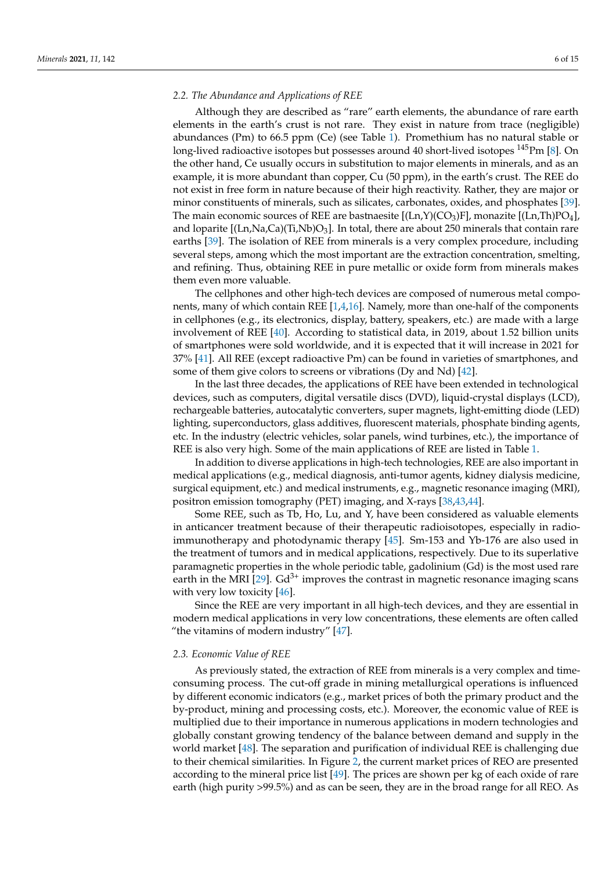#### *2.2. The Abundance and Applications of REE*

Although they are described as "rare" earth elements, the abundance of rare earth elements in the earth's crust is not rare. They exist in nature from trace (negligible) abundances (Pm) to 66.5 ppm (Ce) (see Table [1\)](#page-4-0). Promethium has no natural stable or long-lived radioactive isotopes but possesses around 40 short-lived isotopes  $145$ Pm [\[8\]](#page-11-5). On the other hand, Ce usually occurs in substitution to major elements in minerals, and as an example, it is more abundant than copper, Cu (50 ppm), in the earth's crust. The REE do not exist in free form in nature because of their high reactivity. Rather, they are major or minor constituents of minerals, such as silicates, carbonates, oxides, and phosphates [\[39\]](#page-13-3). The main economic sources of REE are bastnaesite  $[(\text{Ln},\text{Y})(\text{CO}_3)\text{F}]$ , monazite  $[(\text{Ln},\text{Th})\text{PO}_4]$ , and loparite  $[(\text{Ln},\text{Na},\text{Ca})(\text{Ti},\text{Nb})\text{O}_3]$ . In total, there are about 250 minerals that contain rare earths [\[39\]](#page-13-3). The isolation of REE from minerals is a very complex procedure, including several steps, among which the most important are the extraction concentration, smelting, and refining. Thus, obtaining REE in pure metallic or oxide form from minerals makes them even more valuable.

The cellphones and other high-tech devices are composed of numerous metal components, many of which contain REE [\[1](#page-11-0)[,4](#page-11-1)[,16\]](#page-12-6). Namely, more than one-half of the components in cellphones (e.g., its electronics, display, battery, speakers, etc.) are made with a large involvement of REE [\[40\]](#page-13-4). According to statistical data, in 2019, about 1.52 billion units of smartphones were sold worldwide, and it is expected that it will increase in 2021 for 37% [\[41\]](#page-13-5). All REE (except radioactive Pm) can be found in varieties of smartphones, and some of them give colors to screens or vibrations (Dy and Nd) [\[42\]](#page-13-6).

In the last three decades, the applications of REE have been extended in technological devices, such as computers, digital versatile discs (DVD), liquid-crystal displays (LCD), rechargeable batteries, autocatalytic converters, super magnets, light-emitting diode (LED) lighting, superconductors, glass additives, fluorescent materials, phosphate binding agents, etc. In the industry (electric vehicles, solar panels, wind turbines, etc.), the importance of REE is also very high. Some of the main applications of REE are listed in Table [1.](#page-4-0)

In addition to diverse applications in high-tech technologies, REE are also important in medical applications (e.g., medical diagnosis, anti-tumor agents, kidney dialysis medicine, surgical equipment, etc.) and medical instruments, e.g., magnetic resonance imaging (MRI), positron emission tomography (PET) imaging, and X-rays [\[38,](#page-13-7)[43](#page-13-8)[,44\]](#page-13-9).

Some REE, such as Tb, Ho, Lu, and Y, have been considered as valuable elements in anticancer treatment because of their therapeutic radioisotopes, especially in radioimmunotherapy and photodynamic therapy [\[45\]](#page-13-10). Sm-153 and Yb-176 are also used in the treatment of tumors and in medical applications, respectively. Due to its superlative paramagnetic properties in the whole periodic table, gadolinium (Gd) is the most used rare earth in the MRI [\[29\]](#page-12-12).  $Gd^{3+}$  improves the contrast in magnetic resonance imaging scans with very low toxicity [\[46\]](#page-13-11).

Since the REE are very important in all high-tech devices, and they are essential in modern medical applications in very low concentrations, these elements are often called "the vitamins of modern industry" [\[47\]](#page-13-12).

#### *2.3. Economic Value of REE*

As previously stated, the extraction of REE from minerals is a very complex and timeconsuming process. The cut-off grade in mining metallurgical operations is influenced by different economic indicators (e.g., market prices of both the primary product and the by-product, mining and processing costs, etc.). Moreover, the economic value of REE is multiplied due to their importance in numerous applications in modern technologies and globally constant growing tendency of the balance between demand and supply in the world market [\[48\]](#page-13-13). The separation and purification of individual REE is challenging due to their chemical similarities. In Figure [2,](#page-6-0) the current market prices of REO are presented according to the mineral price list  $[49]$ . The prices are shown per kg of each oxide of rare earth (high purity >99.5%) and as can be seen, they are in the broad range for all REO. As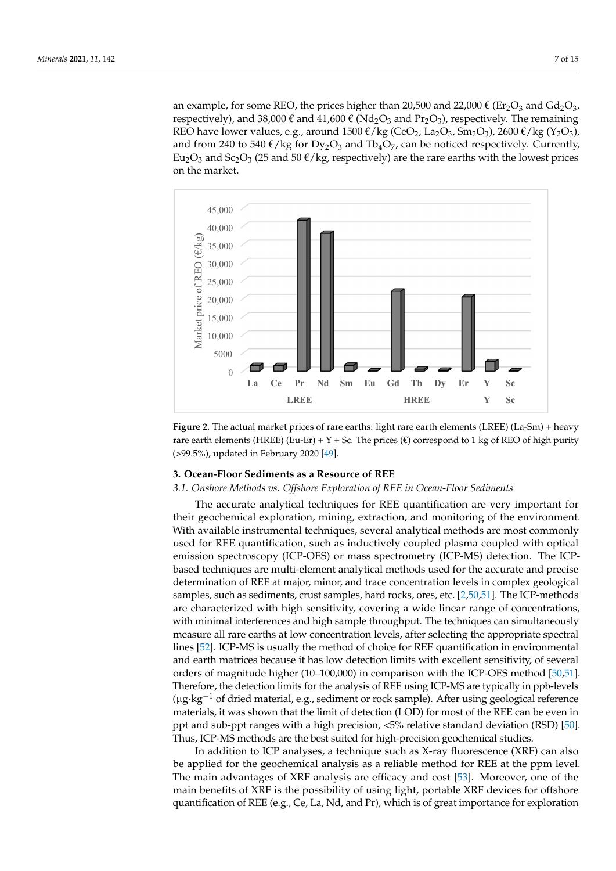an example, for some REO, the prices higher than 20,500 and 22,000  $\epsilon$  (Er<sub>2</sub>O<sub>3</sub> and Gd<sub>2</sub>O<sub>3</sub>, respectively), and 38,000  $\epsilon$  and 41,600  $\epsilon$  (Nd<sub>2</sub>O<sub>3</sub> and Pr<sub>2</sub>O<sub>3</sub>), respectively. The remaining REO have lower values, e.g., around 1500  $\epsilon$ /kg (CeO<sub>2</sub>, La<sub>2</sub>O<sub>3</sub>, Sm<sub>2</sub>O<sub>3</sub>), 2600  $\epsilon$ /kg (Y<sub>2</sub>O<sub>3</sub>), and from 240 to 540  $\epsilon$ /kg for Dy<sub>2</sub>O<sub>3</sub> and Tb<sub>4</sub>O<sub>7</sub>, can be noticed respectively. Currently, Eu<sub>2</sub>O<sub>3</sub> and Sc<sub>2</sub>O<sub>3</sub> (25 and 50  $\epsilon$ /kg, respectively) are the rare earths with the lowest prices on the market. on the market.

<span id="page-6-0"></span>

**Figure 2.** The actual market prices of rare earths: light rare earth elements (LREE) (La-Sm) + heavy **Figure 2.** The actual market prices of rare earths: light rare earth elements (LREE) (La-Sm) + heavy rare earth elements (HREE) (Eu-Er) + Y + Sc. The prices ( $\epsilon$ ) correspond to 1 kg of REO of high purity (> 99.5%), updated in February 2020 [\[49\]](#page-13-14).

#### **3. Ocean-Floor Sediments as a Resource of REE 3. Ocean-Floor Sediments as a Resource of REE**

## *3.1. Onshore Methods vs. Offshore Exploration of REE in Ocean-Floor Sediments 3.1. Onshore Methods vs. Offshore Exploration of REE in Ocean-Floor Sediments*

The accurate analytical techniques for REE quantification are very important for their geochemical exploration, mining, extraction, and monitoring of the environment. With available instrumental techniques, several analytical methods are most commonly used for REE quantification, such as inductively coupled plasma coupled with optical  $\frac{1}{2}$ emission spectroscopy (ICP-OES) or mass spectrometry (ICP-MS) detection. The ICPbased techniques are multi-element analytical methods used for the accurate and precise determination of REE at major, minor, and trace concentration levels in complex geological samples, which is the same of the same of the same of the same of the same of the same of the same of the same of the same of the s samples, such as sediments, crust samples, hard rocks, ores, etc.  $[2,50,51]$  $[2,50,51]$  $[2,50,51]$ . The ICP-methods are characterized with high sensitivity, covering a wide linear range of concentrations, with minimal interferences and high sample throughput. The techniques can simultaneously with minimal interferences and high sample throughput. The techniques can simultaneously measure all rare earths at low concentration levels, after selecting the appropriate spectral  $\frac{1}{1}$ lines [52]. ICP-MS is usually the method of choice for REE quantification in environmental lines [\[52\]](#page-13-17). ICP-MS is usually the method of choice for REE quantification in environmental and earth matrices because it has low detection limits with excellent sensitivity, of several orders of magnitude higher (10–100,000) in comparison with the ICP-OES method [\[50,](#page-13-15)[51\]](#page-13-16). orders of magnitude higher (10–100,000) in comparison with the ICP-OES method [50,51]. Therefore, the detection limits for the analysis of REE using ICP-MS are typically in ppb-levels Therefore, the detection limits for the analysis of REE using ICP-MS are typically in ppb-(µg·kg−<sup>1</sup> of dried material, e.g., sediment or rock sample). After using geological reference levels (µg·kg−1 of dried material, e.g., sediment or rock sample). After using geological materials, it was shown that the limit of detection (LOD) for most of the REE can be even in ppt and sub-ppt ranges with a high precision, <5% relative standard deviation (RSD) [\[50\]](#page-13-15). be even in ppt and sub-ppt ranges with a high precision, < 5% relative standard deviation Thus, ICP-MS methods are the best suited for high-precision geochemical studies. and earth matrices because it has low detection limits with excellent sensitivity, of several

quantification of REE (e.g., Ce, La, Nd, and Pr), which is of great importance for exploration In addition to ICP analyses, a technique such as X-ray fluorescence (XRF) can also be applied for the geochemical analysis as a reliable method for REE at the ppm level. The main advantages of XRF analysis are efficacy and cost [\[53\]](#page-13-18). Moreover, one of the main benefits of XRF is the possibility of using light, portable XRF devices for offshore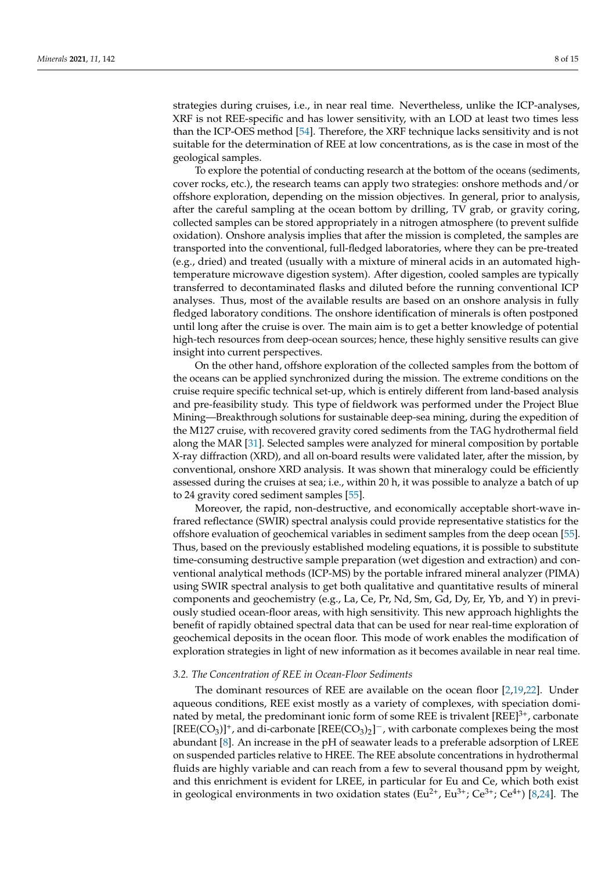strategies during cruises, i.e., in near real time. Nevertheless, unlike the ICP-analyses, XRF is not REE-specific and has lower sensitivity, with an LOD at least two times less than the ICP-OES method [\[54\]](#page-13-19). Therefore, the XRF technique lacks sensitivity and is not suitable for the determination of REE at low concentrations, as is the case in most of the geological samples.

To explore the potential of conducting research at the bottom of the oceans (sediments, cover rocks, etc.), the research teams can apply two strategies: onshore methods and/or offshore exploration, depending on the mission objectives. In general, prior to analysis, after the careful sampling at the ocean bottom by drilling, TV grab, or gravity coring, collected samples can be stored appropriately in a nitrogen atmosphere (to prevent sulfide oxidation). Onshore analysis implies that after the mission is completed, the samples are transported into the conventional, full-fledged laboratories, where they can be pre-treated (e.g., dried) and treated (usually with a mixture of mineral acids in an automated hightemperature microwave digestion system). After digestion, cooled samples are typically transferred to decontaminated flasks and diluted before the running conventional ICP analyses. Thus, most of the available results are based on an onshore analysis in fully fledged laboratory conditions. The onshore identification of minerals is often postponed until long after the cruise is over. The main aim is to get a better knowledge of potential high-tech resources from deep-ocean sources; hence, these highly sensitive results can give insight into current perspectives.

On the other hand, offshore exploration of the collected samples from the bottom of the oceans can be applied synchronized during the mission. The extreme conditions on the cruise require specific technical set-up, which is entirely different from land-based analysis and pre-feasibility study. This type of fieldwork was performed under the Project Blue Mining—Breakthrough solutions for sustainable deep-sea mining, during the expedition of the M127 cruise, with recovered gravity cored sediments from the TAG hydrothermal field along the MAR [\[31\]](#page-12-14). Selected samples were analyzed for mineral composition by portable X-ray diffraction (XRD), and all on-board results were validated later, after the mission, by conventional, onshore XRD analysis. It was shown that mineralogy could be efficiently assessed during the cruises at sea; i.e., within 20 h, it was possible to analyze a batch of up to 24 gravity cored sediment samples [\[55\]](#page-13-20).

Moreover, the rapid, non-destructive, and economically acceptable short-wave infrared reflectance (SWIR) spectral analysis could provide representative statistics for the offshore evaluation of geochemical variables in sediment samples from the deep ocean [\[55\]](#page-13-20). Thus, based on the previously established modeling equations, it is possible to substitute time-consuming destructive sample preparation (wet digestion and extraction) and conventional analytical methods (ICP-MS) by the portable infrared mineral analyzer (PIMA) using SWIR spectral analysis to get both qualitative and quantitative results of mineral components and geochemistry (e.g., La, Ce, Pr, Nd, Sm, Gd, Dy, Er, Yb, and Y) in previously studied ocean-floor areas, with high sensitivity. This new approach highlights the benefit of rapidly obtained spectral data that can be used for near real-time exploration of geochemical deposits in the ocean floor. This mode of work enables the modification of exploration strategies in light of new information as it becomes available in near real time.

#### *3.2. The Concentration of REE in Ocean-Floor Sediments*

The dominant resources of REE are available on the ocean floor [\[2,](#page-11-7)[19,](#page-12-9)[22\]](#page-12-21). Under aqueous conditions, REE exist mostly as a variety of complexes, with speciation dominated by metal, the predominant ionic form of some REE is trivalent  $[REE]^{3+}$ , carbonate  $[REE(CO<sub>3</sub>)]<sup>+</sup>$ , and di-carbonate  $[REE(CO<sub>3</sub>)<sub>2</sub>]<sup>-</sup>$ , with carbonate complexes being the most abundant [\[8\]](#page-11-5). An increase in the pH of seawater leads to a preferable adsorption of LREE on suspended particles relative to HREE. The REE absolute concentrations in hydrothermal fluids are highly variable and can reach from a few to several thousand ppm by weight, and this enrichment is evident for LREE, in particular for Eu and Ce, which both exist in geological environments in two oxidation states ( $Eu^{2+}$ ,  $Eu^{3+}$ ;  $Ce^{3+}$ ;  $Ce^{4+}$ ) [\[8,](#page-11-5)[24\]](#page-12-15). The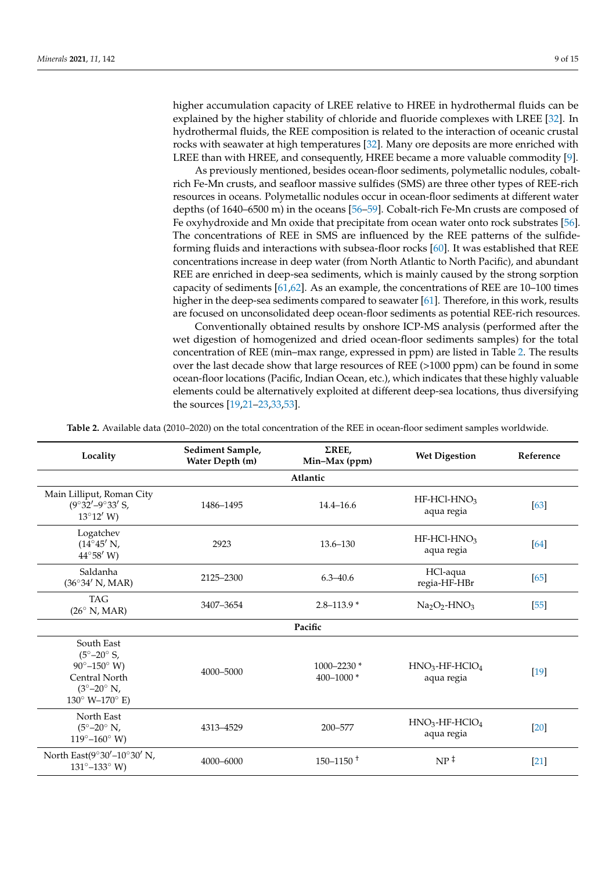higher accumulation capacity of LREE relative to HREE in hydrothermal fluids can be explained by the higher stability of chloride and fluoride complexes with LREE [\[32\]](#page-12-16). In hydrothermal fluids, the REE composition is related to the interaction of oceanic crustal rocks with seawater at high temperatures [\[32\]](#page-12-16). Many ore deposits are more enriched with LREE than with HREE, and consequently, HREE became a more valuable commodity [\[9\]](#page-11-6).

As previously mentioned, besides ocean-floor sediments, polymetallic nodules, cobaltrich Fe-Mn crusts, and seafloor massive sulfides (SMS) are three other types of REE-rich resources in oceans. Polymetallic nodules occur in ocean-floor sediments at different water depths (of 1640–6500 m) in the oceans [\[56](#page-13-21)[–59\]](#page-13-22). Cobalt-rich Fe-Mn crusts are composed of Fe oxyhydroxide and Mn oxide that precipitate from ocean water onto rock substrates [\[56\]](#page-13-21). The concentrations of REE in SMS are influenced by the REE patterns of the sulfideforming fluids and interactions with subsea-floor rocks [\[60\]](#page-13-23). It was established that REE concentrations increase in deep water (from North Atlantic to North Pacific), and abundant REE are enriched in deep-sea sediments, which is mainly caused by the strong sorption capacity of sediments [\[61,](#page-13-24)[62\]](#page-13-25). As an example, the concentrations of REE are 10–100 times higher in the deep-sea sediments compared to seawater [\[61\]](#page-13-24). Therefore, in this work, results are focused on unconsolidated deep ocean-floor sediments as potential REE-rich resources.

Conventionally obtained results by onshore ICP-MS analysis (performed after the wet digestion of homogenized and dried ocean-floor sediments samples) for the total concentration of REE (min–max range, expressed in ppm) are listed in Table [2.](#page-9-0) The results over the last decade show that large resources of REE (>1000 ppm) can be found in some ocean-floor locations (Pacific, Indian Ocean, etc.), which indicates that these highly valuable elements could be alternatively exploited at different deep-sea locations, thus diversifying the sources [\[19,](#page-12-9)[21–](#page-12-22)[23,](#page-12-23)[33,](#page-12-17)[53\]](#page-13-18).

**Table 2.** Available data (2010–2020) on the total concentration of the REE in ocean-floor sediment samples worldwide.

| Locality                                                                                                                                                              | Sediment Sample,<br>Water Depth (m) | $\Sigma$ REE,<br>Min-Max (ppm) | <b>Wet Digestion</b>                       | Reference |  |  |  |  |  |
|-----------------------------------------------------------------------------------------------------------------------------------------------------------------------|-------------------------------------|--------------------------------|--------------------------------------------|-----------|--|--|--|--|--|
| Atlantic                                                                                                                                                              |                                     |                                |                                            |           |  |  |  |  |  |
| Main Lilliput, Roman City<br>$(9^{\circ}32' - 9^{\circ}33'$ S,<br>$13^{\circ}12'$ W)                                                                                  | 1486-1495                           | $14.4 - 16.6$                  | $HF-HCl-HNO3$<br>aqua regia                | [63]      |  |  |  |  |  |
| Logatchev<br>$(14^{\circ}45' \text{ N},$<br>$44^{\circ}58'$ W)                                                                                                        | 2923                                | $13.6 - 130$                   | $HF-HCl-HNO3$<br>aqua regia                | [64]      |  |  |  |  |  |
| Saldanha<br>$(36^{\circ}34' \text{ N}, \text{MAR})$                                                                                                                   | 2125-2300                           |                                | HCl-aqua<br>regia-HF-HBr                   | [65]      |  |  |  |  |  |
| <b>TAG</b><br>$(26^\circ \text{ N}, \text{MAR})$                                                                                                                      | 3407-3654                           | $2.8 - 113.9*$                 | $Na2O2$ -HNO <sub>3</sub>                  | $[55]$    |  |  |  |  |  |
| Pacific                                                                                                                                                               |                                     |                                |                                            |           |  |  |  |  |  |
| South East<br>$(5^{\circ}-20^{\circ} S,$<br>$90^{\circ} - 150^{\circ}$ W)<br>Central North<br>$(3^{\circ}-20^{\circ} \text{ N},$<br>$130^{\circ}$ W- $170^{\circ}$ E) | 4000-5000                           | 1000-2230 *<br>400-1000 $*$    | $HNO3$ -HF-HClO <sub>4</sub><br>aqua regia | $[19]$    |  |  |  |  |  |
| North East<br>$(5^{\circ}-20^{\circ} N,$<br>4313-4529<br>$119^{\circ} - 160^{\circ}$ W)                                                                               |                                     | 200-577                        | $HNO3$ -HF-HClO <sub>4</sub><br>aqua regia | $[20]$    |  |  |  |  |  |
| North East $(9°30' - 10°30'$ N,<br>4000-6000<br>$131^{\circ} - 133^{\circ}$ W)                                                                                        |                                     | $150 - 1150 +$                 | $NP^{\ddagger}$                            | $[21]$    |  |  |  |  |  |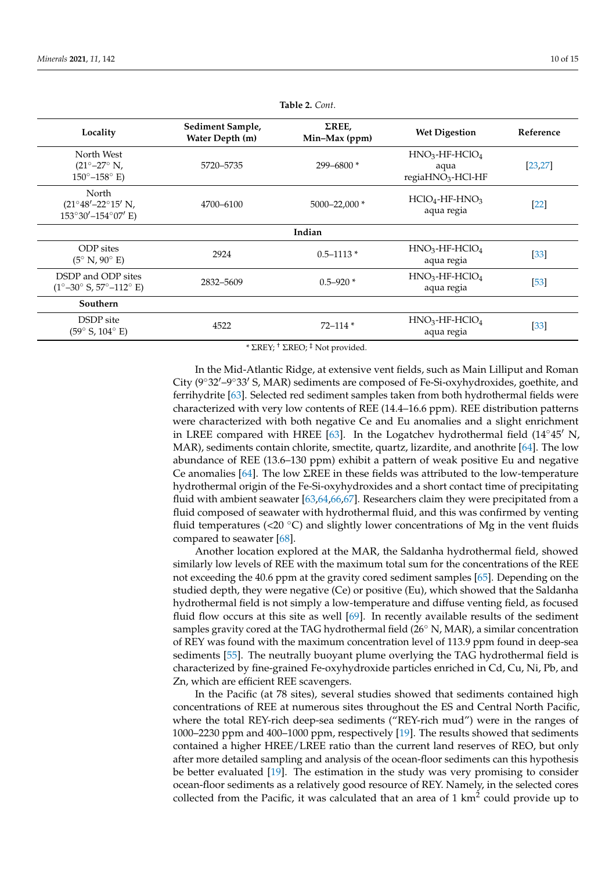<span id="page-9-0"></span>

| Locality                                                                                      | Sediment Sample,<br>Water Depth (m) | $\Sigma$ REE,<br>Min-Max (ppm) | <b>Wet Digestion</b>                                                  | Reference |  |  |  |  |
|-----------------------------------------------------------------------------------------------|-------------------------------------|--------------------------------|-----------------------------------------------------------------------|-----------|--|--|--|--|
| North West<br>$(21^{\circ}-27^{\circ} N,$<br>$150^{\circ} - 158^{\circ}$ E)                   | 5720-5735                           | 299-6800*                      | $HNO3$ -HF-HClO <sub>4</sub><br>aqua<br>regiaHNO <sub>3</sub> -HCl-HF | [23, 27]  |  |  |  |  |
| North<br>$(21^{\circ}48' - 22^{\circ}15' \text{ N}$ ,<br>$153^{\circ}30' - 154^{\circ}07'$ E) | 4700-6100                           | $5000 - 22,000*$               | $HClO4-HF-HNO3$<br>aqua regia                                         | $[22]$    |  |  |  |  |
| Indian                                                                                        |                                     |                                |                                                                       |           |  |  |  |  |
| <b>ODP</b> sites<br>$(5^{\circ} N, 90^{\circ} E)$                                             | 2924                                | $0.5 - 1113*$                  | $HNO3$ -HF-HClO <sub>4</sub><br>aqua regia                            | $[33]$    |  |  |  |  |
| DSDP and ODP sites<br>$(1^{\circ}-30^{\circ} S, 57^{\circ}-112^{\circ} E)$                    | 2832-5609                           |                                | $HNO3$ -HF-HClO <sub>4</sub><br>aqua regia                            | $[53]$    |  |  |  |  |
| Southern                                                                                      |                                     |                                |                                                                       |           |  |  |  |  |
| DSDP site<br>$(59^{\circ} S, 104^{\circ} E)$                                                  | 4522                                | $72 - 114*$                    | $HNO3$ -HF-HClO <sub>4</sub><br>aqua regia                            | $[33]$    |  |  |  |  |

**Table 2.** *Cont*.

\* ΣREY; † ΣREO; ‡ Not provided.

In the Mid-Atlantic Ridge, at extensive vent fields, such as Main Lilliput and Roman City  $(9°32′–9°33′ S, MAR)$  sediments are composed of Fe-Si-oxyhydroxides, goethite, and ferrihydrite [\[63\]](#page-13-26). Selected red sediment samples taken from both hydrothermal fields were characterized with very low contents of REE (14.4–16.6 ppm). REE distribution patterns were characterized with both negative Ce and Eu anomalies and a slight enrichment in LREE compared with HREE [\[63\]](#page-13-26). In the Logatchev hydrothermal field  $(14°45'$  N, MAR), sediments contain chlorite, smectite, quartz, lizardite, and anothrite [\[64\]](#page-13-27). The low abundance of REE (13.6–130 ppm) exhibit a pattern of weak positive Eu and negative Ce anomalies [\[64\]](#page-13-27). The low ΣREE in these fields was attributed to the low-temperature hydrothermal origin of the Fe-Si-oxyhydroxides and a short contact time of precipitating fluid with ambient seawater [\[63](#page-13-26)[,64](#page-13-27)[,66](#page-14-1)[,67\]](#page-14-2). Researchers claim they were precipitated from a fluid composed of seawater with hydrothermal fluid, and this was confirmed by venting fluid temperatures (<20 $^{\circ}$ C) and slightly lower concentrations of Mg in the vent fluids compared to seawater [\[68\]](#page-14-3).

Another location explored at the MAR, the Saldanha hydrothermal field, showed similarly low levels of REE with the maximum total sum for the concentrations of the REE not exceeding the 40.6 ppm at the gravity cored sediment samples [\[65\]](#page-14-0). Depending on the studied depth, they were negative (Ce) or positive (Eu), which showed that the Saldanha hydrothermal field is not simply a low-temperature and diffuse venting field, as focused fluid flow occurs at this site as well [\[69\]](#page-14-4). In recently available results of the sediment samples gravity cored at the TAG hydrothermal field (26◦ N, MAR), a similar concentration of REY was found with the maximum concentration level of 113.9 ppm found in deep-sea sediments [\[55\]](#page-13-20). The neutrally buoyant plume overlying the TAG hydrothermal field is characterized by fine-grained Fe-oxyhydroxide particles enriched in Cd, Cu, Ni, Pb, and Zn, which are efficient REE scavengers.

In the Pacific (at 78 sites), several studies showed that sediments contained high concentrations of REE at numerous sites throughout the ES and Central North Pacific, where the total REY-rich deep-sea sediments ("REY-rich mud") were in the ranges of 1000–2230 ppm and 400–1000 ppm, respectively [\[19\]](#page-12-9). The results showed that sediments contained a higher HREE/LREE ratio than the current land reserves of REO, but only after more detailed sampling and analysis of the ocean-floor sediments can this hypothesis be better evaluated [\[19\]](#page-12-9). The estimation in the study was very promising to consider ocean-floor sediments as a relatively good resource of REY. Namely, in the selected cores collected from the Pacific, it was calculated that an area of  $1 \text{ km}^2$  could provide up to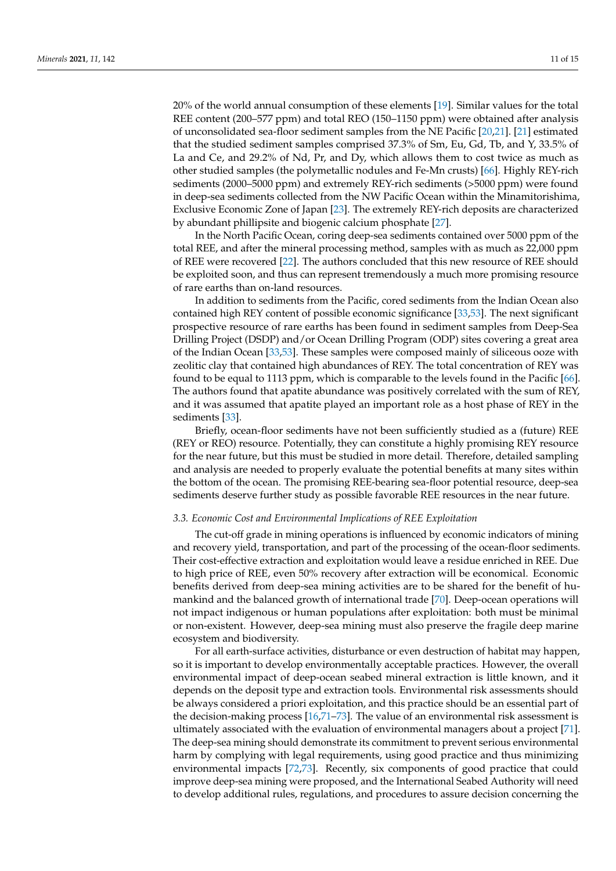20% of the world annual consumption of these elements [\[19\]](#page-12-9). Similar values for the total REE content (200–577 ppm) and total REO (150–1150 ppm) were obtained after analysis of unconsolidated sea-floor sediment samples from the NE Pacific [\[20](#page-12-24)[,21\]](#page-12-22). [\[21\]](#page-12-22) estimated that the studied sediment samples comprised 37.3% of Sm, Eu, Gd, Tb, and Y, 33.5% of La and Ce, and 29.2% of Nd, Pr, and Dy, which allows them to cost twice as much as other studied samples (the polymetallic nodules and Fe-Mn crusts) [\[66\]](#page-14-1). Highly REY-rich sediments (2000–5000 ppm) and extremely REY-rich sediments (>5000 ppm) were found in deep-sea sediments collected from the NW Pacific Ocean within the Minamitorishima, Exclusive Economic Zone of Japan [\[23\]](#page-12-23). The extremely REY-rich deposits are characterized by abundant phillipsite and biogenic calcium phosphate [\[27\]](#page-12-10).

In the North Pacific Ocean, coring deep-sea sediments contained over 5000 ppm of the total REE, and after the mineral processing method, samples with as much as 22,000 ppm of REE were recovered [\[22\]](#page-12-21). The authors concluded that this new resource of REE should be exploited soon, and thus can represent tremendously a much more promising resource of rare earths than on-land resources.

In addition to sediments from the Pacific, cored sediments from the Indian Ocean also contained high REY content of possible economic significance [\[33,](#page-12-17)[53\]](#page-13-18). The next significant prospective resource of rare earths has been found in sediment samples from Deep-Sea Drilling Project (DSDP) and/or Ocean Drilling Program (ODP) sites covering a great area of the Indian Ocean [\[33,](#page-12-17)[53\]](#page-13-18). These samples were composed mainly of siliceous ooze with zeolitic clay that contained high abundances of REY. The total concentration of REY was found to be equal to 1113 ppm, which is comparable to the levels found in the Pacific [\[66\]](#page-14-1). The authors found that apatite abundance was positively correlated with the sum of REY, and it was assumed that apatite played an important role as a host phase of REY in the sediments [\[33\]](#page-12-17).

Briefly, ocean-floor sediments have not been sufficiently studied as a (future) REE (REY or REO) resource. Potentially, they can constitute a highly promising REY resource for the near future, but this must be studied in more detail. Therefore, detailed sampling and analysis are needed to properly evaluate the potential benefits at many sites within the bottom of the ocean. The promising REE-bearing sea-floor potential resource, deep-sea sediments deserve further study as possible favorable REE resources in the near future.

#### *3.3. Economic Cost and Environmental Implications of REE Exploitation*

The cut-off grade in mining operations is influenced by economic indicators of mining and recovery yield, transportation, and part of the processing of the ocean-floor sediments. Their cost-effective extraction and exploitation would leave a residue enriched in REE. Due to high price of REE, even 50% recovery after extraction will be economical. Economic benefits derived from deep-sea mining activities are to be shared for the benefit of humankind and the balanced growth of international trade [\[70\]](#page-14-5). Deep-ocean operations will not impact indigenous or human populations after exploitation: both must be minimal or non-existent. However, deep-sea mining must also preserve the fragile deep marine ecosystem and biodiversity.

For all earth-surface activities, disturbance or even destruction of habitat may happen, so it is important to develop environmentally acceptable practices. However, the overall environmental impact of deep-ocean seabed mineral extraction is little known, and it depends on the deposit type and extraction tools. Environmental risk assessments should be always considered a priori exploitation, and this practice should be an essential part of the decision-making process [\[16](#page-12-6)[,71](#page-14-6)[–73\]](#page-14-7). The value of an environmental risk assessment is ultimately associated with the evaluation of environmental managers about a project [\[71\]](#page-14-6). The deep-sea mining should demonstrate its commitment to prevent serious environmental harm by complying with legal requirements, using good practice and thus minimizing environmental impacts [\[72](#page-14-8)[,73\]](#page-14-7). Recently, six components of good practice that could improve deep-sea mining were proposed, and the International Seabed Authority will need to develop additional rules, regulations, and procedures to assure decision concerning the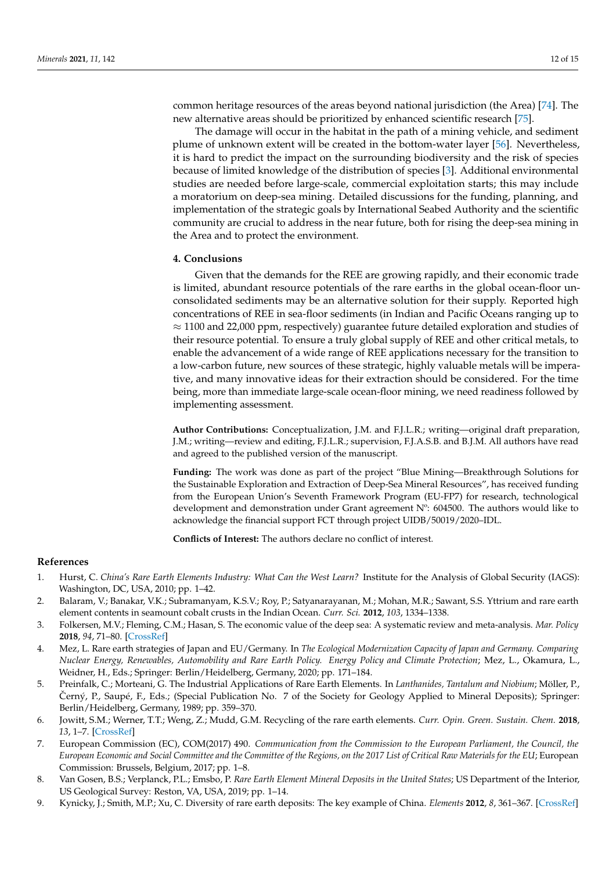common heritage resources of the areas beyond national jurisdiction (the Area) [\[74\]](#page-14-9). The new alternative areas should be prioritized by enhanced scientific research [\[75\]](#page-14-10).

The damage will occur in the habitat in the path of a mining vehicle, and sediment plume of unknown extent will be created in the bottom-water layer [\[56\]](#page-13-21). Nevertheless, it is hard to predict the impact on the surrounding biodiversity and the risk of species because of limited knowledge of the distribution of species [\[3\]](#page-11-9). Additional environmental studies are needed before large-scale, commercial exploitation starts; this may include a moratorium on deep-sea mining. Detailed discussions for the funding, planning, and implementation of the strategic goals by International Seabed Authority and the scientific community are crucial to address in the near future, both for rising the deep-sea mining in the Area and to protect the environment.

#### **4. Conclusions**

Given that the demands for the REE are growing rapidly, and their economic trade is limited, abundant resource potentials of the rare earths in the global ocean-floor unconsolidated sediments may be an alternative solution for their supply. Reported high concentrations of REE in sea-floor sediments (in Indian and Pacific Oceans ranging up to  $\approx$  1100 and 22,000 ppm, respectively) guarantee future detailed exploration and studies of their resource potential. To ensure a truly global supply of REE and other critical metals, to enable the advancement of a wide range of REE applications necessary for the transition to a low-carbon future, new sources of these strategic, highly valuable metals will be imperative, and many innovative ideas for their extraction should be considered. For the time being, more than immediate large-scale ocean-floor mining, we need readiness followed by implementing assessment.

**Author Contributions:** Conceptualization, J.M. and F.J.L.R.; writing—original draft preparation, J.M.; writing—review and editing, F.J.L.R.; supervision, F.J.A.S.B. and B.J.M. All authors have read and agreed to the published version of the manuscript.

**Funding:** The work was done as part of the project "Blue Mining—Breakthrough Solutions for the Sustainable Exploration and Extraction of Deep-Sea Mineral Resources", has received funding from the European Union's Seventh Framework Program (EU-FP7) for research, technological development and demonstration under Grant agreement Nº: 604500. The authors would like to acknowledge the financial support FCT through project UIDB/50019/2020–IDL.

**Conflicts of Interest:** The authors declare no conflict of interest.

#### <span id="page-11-8"></span>**References**

- <span id="page-11-0"></span>1. Hurst, C. *China's Rare Earth Elements Industry: What Can the West Learn?* Institute for the Analysis of Global Security (IAGS): Washington, DC, USA, 2010; pp. 1–42.
- <span id="page-11-7"></span>2. Balaram, V.; Banakar, V.K.; Subramanyam, K.S.V.; Roy, P.; Satyanarayanan, M.; Mohan, M.R.; Sawant, S.S. Yttrium and rare earth element contents in seamount cobalt crusts in the Indian Ocean. *Curr. Sci.* **2012**, *103*, 1334–1338.
- <span id="page-11-9"></span>3. Folkersen, M.V.; Fleming, C.M.; Hasan, S. The economic value of the deep sea: A systematic review and meta-analysis. *Mar. Policy* **2018**, *94*, 71–80. [\[CrossRef\]](http://doi.org/10.1016/j.marpol.2018.05.003)
- <span id="page-11-1"></span>4. Mez, L. Rare earth strategies of Japan and EU/Germany. In *The Ecological Modernization Capacity of Japan and Germany. Comparing Nuclear Energy, Renewables, Automobility and Rare Earth Policy. Energy Policy and Climate Protection*; Mez, L., Okamura, L., Weidner, H., Eds.; Springer: Berlin/Heidelberg, Germany, 2020; pp. 171–184.
- <span id="page-11-2"></span>5. Preinfalk, C.; Morteani, G. The Industrial Applications of Rare Earth Elements. In *Lanthanides, Tantalum and Niobium*; Möller, P., Černý, P., Saupé, F., Eds.; (Special Publication No. 7 of the Society for Geology Applied to Mineral Deposits); Springer: Berlin/Heidelberg, Germany, 1989; pp. 359–370.
- <span id="page-11-3"></span>6. Jowitt, S.M.; Werner, T.T.; Weng, Z.; Mudd, G.M. Recycling of the rare earth elements. *Curr. Opin. Green. Sustain. Chem.* **2018**, *13*, 1–7. [\[CrossRef\]](http://doi.org/10.1016/j.cogsc.2018.02.008)
- <span id="page-11-4"></span>7. European Commission (EC), COM(2017) 490. *Communication from the Commission to the European Parliament, the Council, the European Economic and Social Committee and the Committee of the Regions, on the 2017 List of Critical Raw Materials for the EU*; European Commission: Brussels, Belgium, 2017; pp. 1–8.
- <span id="page-11-5"></span>8. Van Gosen, B.S.; Verplanck, P.L.; Emsbo, P. *Rare Earth Element Mineral Deposits in the United States*; US Department of the Interior, US Geological Survey: Reston, VA, USA, 2019; pp. 1–14.
- <span id="page-11-6"></span>9. Kynicky, J.; Smith, M.P.; Xu, C. Diversity of rare earth deposits: The key example of China. *Elements* **2012**, *8*, 361–367. [\[CrossRef\]](http://doi.org/10.2113/gselements.8.5.361)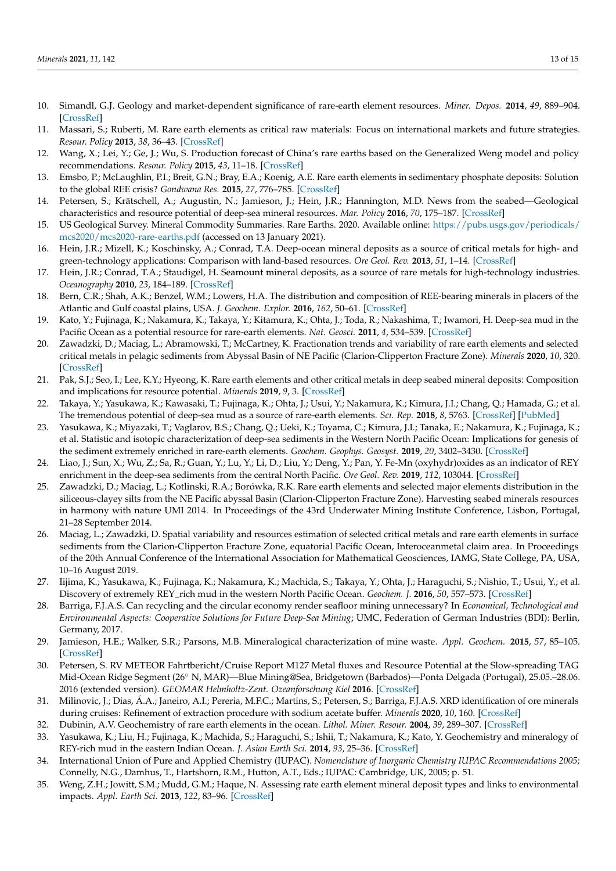- <span id="page-12-20"></span><span id="page-12-1"></span>10. Simandl, G.J. Geology and market-dependent significance of rare-earth element resources. *Miner. Depos.* **2014**, *49*, 889–904. [\[CrossRef\]](http://doi.org/10.1007/s00126-014-0546-z)
- <span id="page-12-2"></span>11. Massari, S.; Ruberti, M. Rare earth elements as critical raw materials: Focus on international markets and future strategies. *Resour. Policy* **2013**, *38*, 36–43. [\[CrossRef\]](http://doi.org/10.1016/j.resourpol.2012.07.001)
- <span id="page-12-0"></span>12. Wang, X.; Lei, Y.; Ge, J.; Wu, S. Production forecast of China's rare earths based on the Generalized Weng model and policy recommendations. *Resour. Policy* **2015**, *43*, 11–18. [\[CrossRef\]](http://doi.org/10.1016/j.resourpol.2014.11.002)
- <span id="page-12-3"></span>13. Emsbo, P.; McLaughlin, P.I.; Breit, G.N.; Bray, E.A.; Koenig, A.E. Rare earth elements in sedimentary phosphate deposits: Solution to the global REE crisis? *Gondwana Res.* **2015**, *27*, 776–785. [\[CrossRef\]](http://doi.org/10.1016/j.gr.2014.10.008)
- <span id="page-12-4"></span>14. Petersen, S.; Krätschell, A.; Augustin, N.; Jamieson, J.; Hein, J.R.; Hannington, M.D. News from the seabed—Geological characteristics and resource potential of deep-sea mineral resources. *Mar. Policy* **2016**, *70*, 175–187. [\[CrossRef\]](http://doi.org/10.1016/j.marpol.2016.03.012)
- <span id="page-12-5"></span>15. US Geological Survey. Mineral Commodity Summaries. Rare Earths. 2020. Available online: [https://pubs.usgs.gov/periodicals/](https://pubs.usgs.gov/periodicals/mcs2020/mcs2020-rare-earths.pdf) [mcs2020/mcs2020-rare-earths.pdf](https://pubs.usgs.gov/periodicals/mcs2020/mcs2020-rare-earths.pdf) (accessed on 13 January 2021).
- <span id="page-12-6"></span>16. Hein, J.R.; Mizell, K.; Koschinsky, A.; Conrad, T.A. Deep-ocean mineral deposits as a source of critical metals for high- and green-technology applications: Comparison with land-based resources. *Ore Geol. Rev.* **2013**, *51*, 1–14. [\[CrossRef\]](http://doi.org/10.1016/j.oregeorev.2012.12.001)
- <span id="page-12-7"></span>17. Hein, J.R.; Conrad, T.A.; Staudigel, H. Seamount mineral deposits, as a source of rare metals for high-technology industries. *Oceanography* **2010**, *23*, 184–189. [\[CrossRef\]](http://doi.org/10.5670/oceanog.2010.70)
- <span id="page-12-8"></span>18. Bern, C.R.; Shah, A.K.; Benzel, W.M.; Lowers, H.A. The distribution and composition of REE-bearing minerals in placers of the Atlantic and Gulf coastal plains, USA. *J. Geochem. Explor.* **2016**, *162*, 50–61. [\[CrossRef\]](http://doi.org/10.1016/j.gexplo.2015.12.011)
- <span id="page-12-9"></span>19. Kato, Y.; Fujinaga, K.; Nakamura, K.; Takaya, Y.; Kitamura, K.; Ohta, J.; Toda, R.; Nakashima, T.; Iwamori, H. Deep-sea mud in the Pacific Ocean as a potential resource for rare-earth elements. *Nat. Geosci.* **2011**, *4*, 534–539. [\[CrossRef\]](http://doi.org/10.1038/ngeo1185)
- <span id="page-12-24"></span>20. Zawadzki, D.; Maciag, L.; Abramowski, T.; McCartney, K. Fractionation trends and variability of rare earth elements and selected critical metals in pelagic sediments from Abyssal Basin of NE Pacific (Clarion-Clipperton Fracture Zone). *Minerals* **2020**, *10*, 320. [\[CrossRef\]](http://doi.org/10.3390/min10040320)
- <span id="page-12-22"></span>21. Pak, S.J.; Seo, I.; Lee, K.Y.; Hyeong, K. Rare earth elements and other critical metals in deep seabed mineral deposits: Composition and implications for resource potential. *Minerals* **2019**, *9*, 3. [\[CrossRef\]](http://doi.org/10.3390/min9010003)
- <span id="page-12-21"></span>22. Takaya, Y.; Yasukawa, K.; Kawasaki, T.; Fujinaga, K.; Ohta, J.; Usui, Y.; Nakamura, K.; Kimura, J.I.; Chang, Q.; Hamada, G.; et al. The tremendous potential of deep-sea mud as a source of rare-earth elements. *Sci. Rep.* **2018**, *8*, 5763. [\[CrossRef\]](http://doi.org/10.1038/s41598-018-23948-5) [\[PubMed\]](http://www.ncbi.nlm.nih.gov/pubmed/29636486)
- <span id="page-12-23"></span>23. Yasukawa, K.; Miyazaki, T.; Vaglarov, B.S.; Chang, Q.; Ueki, K.; Toyama, C.; Kimura, J.I.; Tanaka, E.; Nakamura, K.; Fujinaga, K.; et al. Statistic and isotopic characterization of deep-sea sediments in the Western North Pacific Ocean: Implications for genesis of the sediment extremely enriched in rare-earth elements. *Geochem. Geophys. Geosyst.* **2019**, *20*, 3402–3430. [\[CrossRef\]](http://doi.org/10.1029/2019GC008214)
- <span id="page-12-15"></span>24. Liao, J.; Sun, X.; Wu, Z.; Sa, R.; Guan, Y.; Lu, Y.; Li, D.; Liu, Y.; Deng, Y.; Pan, Y. Fe-Mn (oxyhydr)oxides as an indicator of REY enrichment in the deep-sea sediments from the central North Pacific. *Ore Geol. Rev.* **2019**, *112*, 103044. [\[CrossRef\]](http://doi.org/10.1016/j.oregeorev.2019.103044)
- 25. Zawadzki, D.; Maciag, L.; Kotlinski, R.A.; Borówka, R.K. Rare earth elements and selected major elements distribution in the siliceous-clayey silts from the NE Pacific abyssal Basin (Clarion-Clipperton Fracture Zone). Harvesting seabed minerals resources in harmony with nature UMI 2014. In Proceedings of the 43rd Underwater Mining Institute Conference, Lisbon, Portugal, 21–28 September 2014.
- 26. Maciag, L.; Zawadzki, D. Spatial variability and resources estimation of selected critical metals and rare earth elements in surface sediments from the Clarion-Clipperton Fracture Zone, equatorial Pacific Ocean, Interoceanmetal claim area. In Proceedings of the 20th Annual Conference of the International Association for Mathematical Geosciences, IAMG, State College, PA, USA, 10–16 August 2019.
- <span id="page-12-10"></span>27. Iijima, K.; Yasukawa, K.; Fujinaga, K.; Nakamura, K.; Machida, S.; Takaya, Y.; Ohta, J.; Haraguchi, S.; Nishio, T.; Usui, Y.; et al. Discovery of extremely REY\_rich mud in the western North Pacific Ocean. *Geochem. J.* **2016**, *50*, 557–573. [\[CrossRef\]](http://doi.org/10.2343/geochemj.2.0431)
- <span id="page-12-11"></span>28. Barriga, F.J.A.S. Can recycling and the circular economy render seafloor mining unnecessary? In *Economical, Technological and Environmental Aspects: Cooperative Solutions for Future Deep-Sea Mining*; UMC, Federation of German Industries (BDI): Berlin, Germany, 2017.
- <span id="page-12-12"></span>29. Jamieson, H.E.; Walker, S.R.; Parsons, M.B. Mineralogical characterization of mine waste. *Appl. Geochem.* **2015**, *57*, 85–105. [\[CrossRef\]](http://doi.org/10.1016/j.apgeochem.2014.12.014)
- <span id="page-12-13"></span>30. Petersen, S. RV METEOR Fahrtbericht/Cruise Report M127 Metal fluxes and Resource Potential at the Slow-spreading TAG Mid-Ocean Ridge Segment (26◦ N, MAR)—Blue Mining@Sea, Bridgetown (Barbados)—Ponta Delgada (Portugal), 25.05.–28.06. 2016 (extended version). *GEOMAR Helmholtz-Zent. Ozeanforschung Kiel* **2016**. [\[CrossRef\]](http://doi.org/10.2312/cr_m127)
- <span id="page-12-14"></span>31. Milinovic, J.; Dias, Á.A.; Janeiro, A.I.; Pereria, M.F.C.; Martins, S.; Petersen, S.; Barriga, F.J.A.S. XRD identification of ore minerals during cruises: Refinement of extraction procedure with sodium acetate buffer. *Minerals* **2020**, *10*, 160. [\[CrossRef\]](http://doi.org/10.3390/min10020160)
- <span id="page-12-16"></span>32. Dubinin, A.V. Geochemistry of rare earth elements in the ocean. *Lithol. Miner. Resour.* **2004**, *39*, 289–307. [\[CrossRef\]](http://doi.org/10.1023/B:LIMI.0000033816.14825.a2)
- <span id="page-12-17"></span>33. Yasukawa, K.; Liu, H.; Fujinaga, K.; Machida, S.; Haraguchi, S.; Ishii, T.; Nakamura, K.; Kato, Y. Geochemistry and mineralogy of REY-rich mud in the eastern Indian Ocean. *J. Asian Earth Sci.* **2014**, *93*, 25–36. [\[CrossRef\]](http://doi.org/10.1016/j.jseaes.2014.07.005)
- <span id="page-12-18"></span>34. International Union of Pure and Applied Chemistry (IUPAC). *Nomenclature of Inorganic Chemistry IUPAC Recommendations 2005*; Connelly, N.G., Damhus, T., Hartshorn, R.M., Hutton, A.T., Eds.; IUPAC: Cambridge, UK, 2005; p. 51.
- <span id="page-12-19"></span>35. Weng, Z.H.; Jowitt, S.M.; Mudd, G.M.; Haque, N. Assessing rate earth element mineral deposit types and links to environmental impacts. *Appl. Earth Sci.* **2013**, *122*, 83–96. [\[CrossRef\]](http://doi.org/10.1179/1743275813Y.0000000036)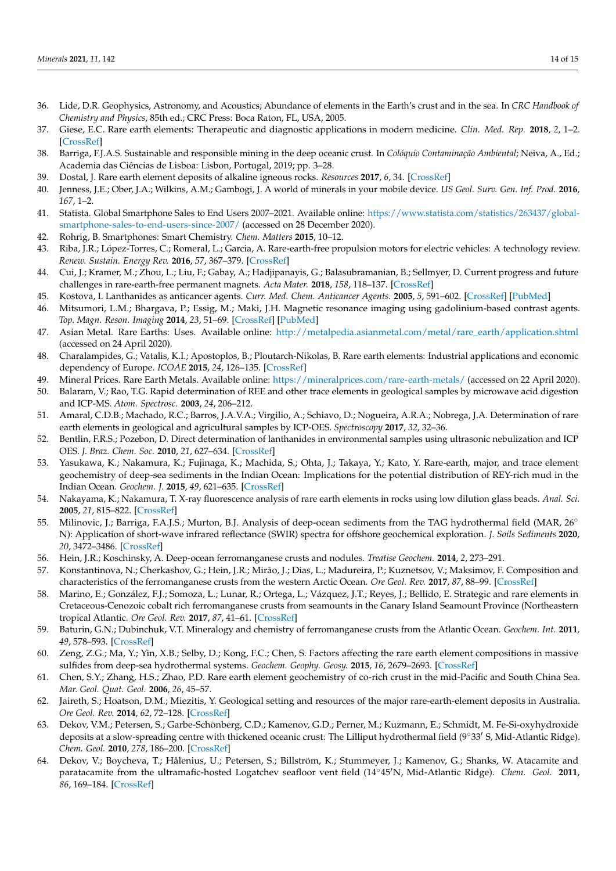- <span id="page-13-2"></span><span id="page-13-1"></span><span id="page-13-0"></span>36. Lide, D.R. Geophysics, Astronomy, and Acoustics; Abundance of elements in the Earth's crust and in the sea. In *CRC Handbook of Chemistry and Physics*, 85th ed.; CRC Press: Boca Raton, FL, USA, 2005.
- 37. Giese, E.C. Rare earth elements: Therapeutic and diagnostic applications in modern medicine. *Clin. Med. Rep.* **2018**, *2*, 1–2. [\[CrossRef\]](http://doi.org/10.15761/CMR.1000139)
- <span id="page-13-7"></span>38. Barriga, F.J.A.S. Sustainable and responsible mining in the deep oceanic crust. In *Colóquio Contaminação Ambiental*; Neiva, A., Ed.; Academia das Ciências de Lisboa: Lisbon, Portugal, 2019; pp. 3–28.
- <span id="page-13-3"></span>39. Dostal, J. Rare earth element deposits of alkaline igneous rocks. *Resources* **2017**, *6*, 34. [\[CrossRef\]](http://doi.org/10.3390/resources6030034)
- <span id="page-13-4"></span>40. Jenness, J.E.; Ober, J.A.; Wilkins, A.M.; Gambogi, J. A world of minerals in your mobile device. *US Geol. Surv. Gen. Inf. Prod.* **2016**, *167*, 1–2.
- <span id="page-13-5"></span>41. Statista. Global Smartphone Sales to End Users 2007–2021. Available online: [https://www.statista.com/statistics/263437/global](https://www.statista.com/statistics/263437/global-smartphone-sales-to-end-users-since-2007/)[smartphone-sales-to-end-users-since-2007/](https://www.statista.com/statistics/263437/global-smartphone-sales-to-end-users-since-2007/) (accessed on 28 December 2020).
- <span id="page-13-6"></span>42. Rohrig, B. Smartphones: Smart Chemistry. *Chem. Matters* **2015**, 10–12.
- <span id="page-13-8"></span>43. Riba, J.R.; López-Torres, C.; Romeral, L.; Garcia, A. Rare-earth-free propulsion motors for electric vehicles: A technology review. *Renew. Sustain. Energy Rev.* **2016**, *57*, 367–379. [\[CrossRef\]](http://doi.org/10.1016/j.rser.2015.12.121)
- <span id="page-13-9"></span>44. Cui, J.; Kramer, M.; Zhou, L.; Liu, F.; Gabay, A.; Hadjipanayis, G.; Balasubramanian, B.; Sellmyer, D. Current progress and future challenges in rare-earth-free permanent magnets. *Acta Mater.* **2018**, *158*, 118–137. [\[CrossRef\]](http://doi.org/10.1016/j.actamat.2018.07.049)
- <span id="page-13-10"></span>45. Kostova, I. Lanthanides as anticancer agents. *Curr. Med. Chem. Anticancer Agents.* **2005**, *5*, 591–602. [\[CrossRef\]](http://doi.org/10.2174/156801105774574694) [\[PubMed\]](http://www.ncbi.nlm.nih.gov/pubmed/16305481)
- <span id="page-13-11"></span>46. Mitsumori, L.M.; Bhargava, P.; Essig, M.; Maki, J.H. Magnetic resonance imaging using gadolinium-based contrast agents. *Top. Magn. Reson. Imaging* **2014**, *23*, 51–69. [\[CrossRef\]](http://doi.org/10.1097/RMR.0b013e31829c4686) [\[PubMed\]](http://www.ncbi.nlm.nih.gov/pubmed/24477166)
- <span id="page-13-12"></span>47. Asian Metal. Rare Earths: Uses. Available online: [http://metalpedia.asianmetal.com/metal/rare\\_earth/application.shtml](http://metalpedia.asianmetal.com/metal/rare_earth/application.shtml) (accessed on 24 April 2020).
- <span id="page-13-13"></span>48. Charalampides, G.; Vatalis, K.I.; Apostoplos, B.; Ploutarch-Nikolas, B. Rare earth elements: Industrial applications and economic dependency of Europe. *ICOAE* **2015**, *24*, 126–135. [\[CrossRef\]](http://doi.org/10.1016/S2212-5671(15)00630-9)
- <span id="page-13-14"></span>49. Mineral Prices. Rare Earth Metals. Available online: <https://mineralprices.com/rare-earth-metals/> (accessed on 22 April 2020).
- <span id="page-13-15"></span>50. Balaram, V.; Rao, T.G. Rapid determination of REE and other trace elements in geological samples by microwave acid digestion and ICP-MS. *Atom. Spectrosc.* **2003**, *24*, 206–212.
- <span id="page-13-16"></span>51. Amaral, C.D.B.; Machado, R.C.; Barros, J.A.V.A.; Virgilio, A.; Schiavo, D.; Nogueira, A.R.A.; Nobrega, J.A. Determination of rare earth elements in geological and agricultural samples by ICP-OES. *Spectroscopy* **2017**, *32*, 32–36.
- <span id="page-13-17"></span>52. Bentlin, F.R.S.; Pozebon, D. Direct determination of lanthanides in environmental samples using ultrasonic nebulization and ICP OES. *J. Braz. Chem. Soc.* **2010**, *21*, 627–634. [\[CrossRef\]](http://doi.org/10.1590/S0103-50532010000400007)
- <span id="page-13-18"></span>53. Yasukawa, K.; Nakamura, K.; Fujinaga, K.; Machida, S.; Ohta, J.; Takaya, Y.; Kato, Y. Rare-earth, major, and trace element geochemistry of deep-sea sediments in the Indian Ocean: Implications for the potential distribution of REY-rich mud in the Indian Ocean. *Geochem. J.* **2015**, *49*, 621–635. [\[CrossRef\]](http://doi.org/10.2343/geochemj.2.0361)
- <span id="page-13-19"></span>54. Nakayama, K.; Nakamura, T. X-ray fluorescence analysis of rare earth elements in rocks using low dilution glass beads. *Anal. Sci.* **2005**, *21*, 815–822. [\[CrossRef\]](http://doi.org/10.2116/analsci.21.815)
- <span id="page-13-20"></span>55. Milinovic, J.; Barriga, F.A.J.S.; Murton, B.J. Analysis of deep-ocean sediments from the TAG hydrothermal field (MAR, 26° N): Application of short-wave infrared reflectance (SWIR) spectra for offshore geochemical exploration. *J. Soils Sediments* **2020**, *20*, 3472–3486. [\[CrossRef\]](http://doi.org/10.1007/s11368-020-02691-3)
- <span id="page-13-21"></span>56. Hein, J.R.; Koschinsky, A. Deep-ocean ferromanganese crusts and nodules. *Treatise Geochem.* **2014**, *2*, 273–291.
- 57. Konstantinova, N.; Cherkashov, G.; Hein, J.R.; Mirão, J.; Dias, L.; Madureira, P.; Kuznetsov, V.; Maksimov, F. Composition and characteristics of the ferromanganese crusts from the western Arctic Ocean. *Ore Geol. Rev.* **2017**, *87*, 88–99. [\[CrossRef\]](http://doi.org/10.1016/j.oregeorev.2016.09.011)
- 58. Marino, E.; González, F.J.; Somoza, L.; Lunar, R.; Ortega, L.; Vázquez, J.T.; Reyes, J.; Bellido, E. Strategic and rare elements in Cretaceous-Cenozoic cobalt rich ferromanganese crusts from seamounts in the Canary Island Seamount Province (Northeastern tropical Atlantic. *Ore Geol. Rev.* **2017**, *87*, 41–61. [\[CrossRef\]](http://doi.org/10.1016/j.oregeorev.2016.10.005)
- <span id="page-13-22"></span>59. Baturin, G.N.; Dubinchuk, V.T. Mineralogy and chemistry of ferromanganese crusts from the Atlantic Ocean. *Geochem. Int.* **2011**, *49*, 578–593. [\[CrossRef\]](http://doi.org/10.1134/S0016702911060024)
- <span id="page-13-23"></span>60. Zeng, Z.G.; Ma, Y.; Yin, X.B.; Selby, D.; Kong, F.C.; Chen, S. Factors affecting the rare earth element compositions in massive sulfides from deep-sea hydrothermal systems. *Geochem. Geophy. Geosy.* **2015**, *16*, 2679–2693. [\[CrossRef\]](http://doi.org/10.1002/2015GC005812)
- <span id="page-13-24"></span>61. Chen, S.Y.; Zhang, H.S.; Zhao, P.D. Rare earth element geochemistry of co-rich crust in the mid-Pacific and South China Sea. *Mar. Geol. Quat. Geol.* **2006**, *26*, 45–57.
- <span id="page-13-25"></span>62. Jaireth, S.; Hoatson, D.M.; Miezitis, Y. Geological setting and resources of the major rare-earth-element deposits in Australia. *Ore Geol. Rev.* **2014**, *62*, 72–128. [\[CrossRef\]](http://doi.org/10.1016/j.oregeorev.2014.02.008)
- <span id="page-13-26"></span>63. Dekov, V.M.; Petersen, S.; Garbe-Schönberg, C.D.; Kamenov, G.D.; Perner, M.; Kuzmann, E.; Schmidt, M. Fe-Si-oxyhydroxide deposits at a slow-spreading centre with thickened oceanic crust: The Lilliput hydrothermal field (9°33' S, Mid-Atlantic Ridge). *Chem. Geol.* **2010**, *278*, 186–200. [\[CrossRef\]](http://doi.org/10.1016/j.chemgeo.2010.09.012)
- <span id="page-13-27"></span>64. Dekov, V.; Boycheva, T.; Hålenius, U.; Petersen, S.; Billström, K.; Stummeyer, J.; Kamenov, G.; Shanks, W. Atacamite and paratacamite from the ultramafic-hosted Logatchev seafloor vent field (14°45'N, Mid-Atlantic Ridge). *Chem. Geol.* 2011, *86*, 169–184. [\[CrossRef\]](http://doi.org/10.1016/j.chemgeo.2011.05.002)